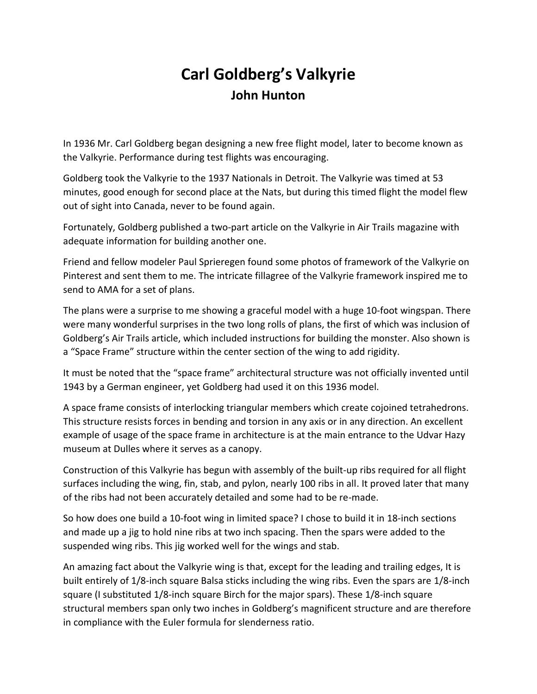## **Carl Goldberg's Valkyrie John Hunton**

In 1936 Mr. Carl Goldberg began designing a new free flight model, later to become known as the Valkyrie. Performance during test flights was encouraging.

Goldberg took the Valkyrie to the 1937 Nationals in Detroit. The Valkyrie was timed at 53 minutes, good enough for second place at the Nats, but during this timed flight the model flew out of sight into Canada, never to be found again.

Fortunately, Goldberg published a two-part article on the Valkyrie in Air Trails magazine with adequate information for building another one.

Friend and fellow modeler Paul Sprieregen found some photos of framework of the Valkyrie on Pinterest and sent them to me. The intricate fillagree of the Valkyrie framework inspired me to send to AMA for a set of plans.

The plans were a surprise to me showing a graceful model with a huge 10-foot wingspan. There were many wonderful surprises in the two long rolls of plans, the first of which was inclusion of Goldberg's Air Trails article, which included instructions for building the monster. Also shown is a "Space Frame" structure within the center section of the wing to add rigidity.

It must be noted that the "space frame" architectural structure was not officially invented until 1943 by a German engineer, yet Goldberg had used it on this 1936 model.

A space frame consists of interlocking triangular members which create cojoined tetrahedrons. This structure resists forces in bending and torsion in any axis or in any direction. An excellent example of usage of the space frame in architecture is at the main entrance to the Udvar Hazy museum at Dulles where it serves as a canopy.

Construction of this Valkyrie has begun with assembly of the built-up ribs required for all flight surfaces including the wing, fin, stab, and pylon, nearly 100 ribs in all. It proved later that many of the ribs had not been accurately detailed and some had to be re-made.

So how does one build a 10-foot wing in limited space? I chose to build it in 18-inch sections and made up a jig to hold nine ribs at two inch spacing. Then the spars were added to the suspended wing ribs. This jig worked well for the wings and stab.

An amazing fact about the Valkyrie wing is that, except for the leading and trailing edges, It is built entirely of 1/8-inch square Balsa sticks including the wing ribs. Even the spars are 1/8-inch square (I substituted 1/8-inch square Birch for the major spars). These 1/8-inch square structural members span only two inches in Goldberg's magnificent structure and are therefore in compliance with the Euler formula for slenderness ratio.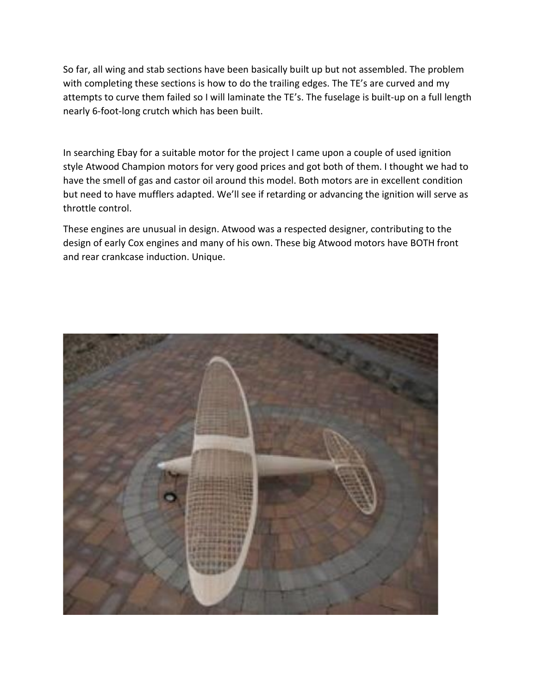So far, all wing and stab sections have been basically built up but not assembled. The problem with completing these sections is how to do the trailing edges. The TE's are curved and my attempts to curve them failed so I will laminate the TE's. The fuselage is built-up on a full length nearly 6-foot-long crutch which has been built.

In searching Ebay for a suitable motor for the project I came upon a couple of used ignition style Atwood Champion motors for very good prices and got both of them. I thought we had to have the smell of gas and castor oil around this model. Both motors are in excellent condition but need to have mufflers adapted. We'll see if retarding or advancing the ignition will serve as throttle control.

These engines are unusual in design. Atwood was a respected designer, contributing to the design of early Cox engines and many of his own. These big Atwood motors have BOTH front and rear crankcase induction. Unique.

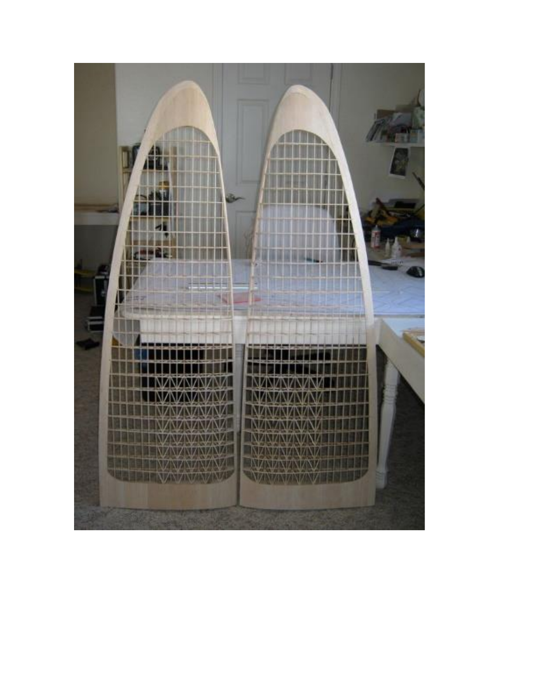